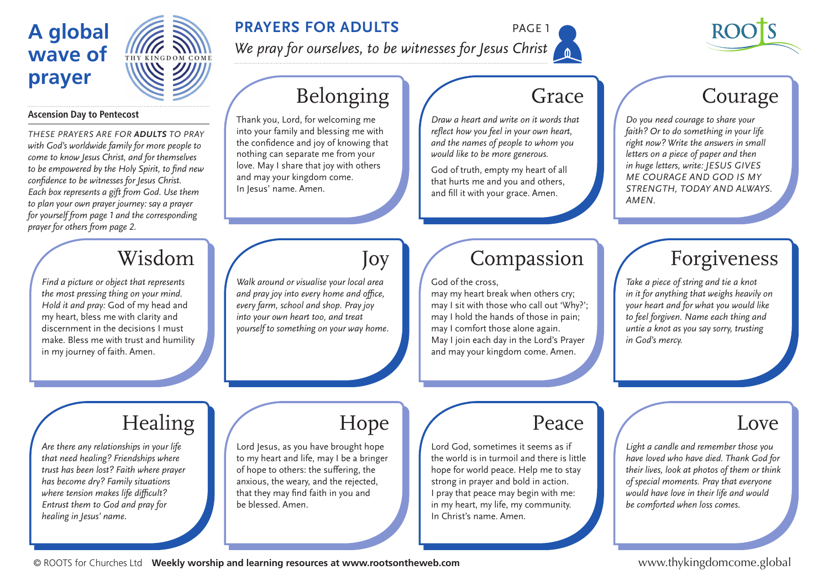# **A global wave of prayer**



### **PRAYERS FOR ADULTS** PAGE 1

*We pray for ourselves, to be witnesses for Jesus Christ*



### **Ascension Day to Pentecost**

*These prayers are for adults to praY with God's worldwide family for more people to come to know Jesus Christ, and for themselves to be empowered by the Holy Spirit, to find new confidence to be witnesses for Jesus Christ. Each box represents a gift from God. Use them to plan your own prayer journey: say a prayer for yourself from page 1 and the corresponding prayer for others from page 2.* 

# Belonging

Thank you, Lord, for welcoming me into your family and blessing me with the confidence and joy of knowing that nothing can separate me from your love. May I share that joy with others and may your kingdom come. In Jesus' name. Amen.

### Grace

*Draw a heart and write on it words that reflect how you feel in your own heart, and the names of people to whom you would like to be more generous.* 

God of truth, empty my heart of all that hurts me and you and others, and fill it with your grace. Amen.

## Courage

*Do you need courage to share your faith? Or to do something in your life right now? Write the answers in small letters on a piece of paper and then in huge letters, write: JESUS GIVES ME COURAGE AND GOD IS MY STRENGTH, TODAY AND ALWAYS. AMEN.*

## Wisdom

*Find a picture or object that represents the most pressing thing on your mind. Hold it and pray:* God of my head and my heart, bless me with clarity and discernment in the decisions I must make. Bless me with trust and humility in my journey of faith. Amen.

*Walk around or visualise your local area and pray joy into every home and office, every farm, school and shop. Pray joy into your own heart too, and treat yourself to something on your way home.*

### Compassion

God of the cross,

may my heart break when others cry; may I sit with those who call out 'Why?'; may I hold the hands of those in pain; may I comfort those alone again. May I join each day in the Lord's Prayer and may your kingdom come. Amen.

## Forgiveness

*Take a piece of string and tie a knot in it for anything that weighs heavily on your heart and for what you would like to feel forgiven. Name each thing and untie a knot as you say sorry, trusting in God's mercy.* 

# **Healing**

*Are there any relationships in your life that need healing? Friendships where trust has been lost? Faith where prayer has become dry? Family situations where tension makes life difficult? Entrust them to God and pray for healing in Jesus' name.*

# Hope

Joy

Lord Jesus, as you have brought hope to my heart and life, may I be a bringer of hope to others: the suffering, the anxious, the weary, and the rejected, that they may find faith in you and be blessed. Amen.

## Peace

Lord God, sometimes it seems as if the world is in turmoil and there is little hope for world peace. Help me to stay strong in prayer and bold in action. I pray that peace may begin with me: in my heart, my life, my community. In Christ's name. Amen.

### Love

*Light a candle and remember those you have loved who have died. Thank God for their lives, look at photos of them or think of special moments. Pray that everyone would have love in their life and would be comforted when loss comes.* 

© ROOTS for Churches Ltd **Weekly worship and learning resources at www.rootsontheweb.com**

www.thykingdomcome.global